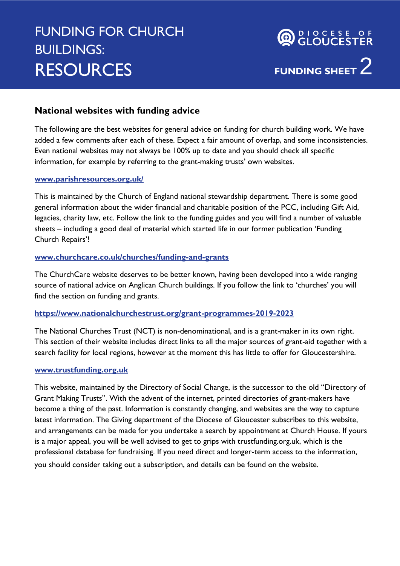## FUNDING FOR CHURCH BUILDINGS: **RESOURCES**

# **FUNDING SHEET** 2 **OR CLOUCESTER**

### **National websites with funding advice**

The following are the best websites for general advice on funding for church building work. We have added a few comments after each of these. Expect a fair amount of overlap, and some inconsistencies. Even national websites may not always be 100% up to date and you should check all specific information, for example by referring to the grant-making trusts' own websites.

#### **[www.parishresources.org.uk/](http://www.parishresources.org.uk/)**

This is maintained by the Church of England national stewardship department. There is some good general information about the wider financial and charitable position of the PCC, including Gift Aid, legacies, charity law, etc. Follow the link to the funding guides and you will find a number of valuable sheets – including a good deal of material which started life in our former publication 'Funding Church Repairs'!

#### **[www.churchcare.co.uk/churches/funding-and-grants](http://www.churchcare.co.uk/churches/funding-and-grants)**

The ChurchCare website deserves to be better known, having been developed into a wide ranging source of national advice on Anglican Church buildings. If you follow the link to 'churches' you will find the section on funding and grants.

#### **<https://www.nationalchurchestrust.org/grant-programmes-2019-2023>**

The National Churches Trust (NCT) is non-denominational, and is a grant-maker in its own right. This section of their website includes direct links to all the major sources of grant-aid together with a search facility for local regions, however at the moment this has little to offer for Gloucestershire.

#### **[www.trustfunding.org.uk](http://www.trustfunding.org.uk/)**

This website, maintained by the Directory of Social Change, is the successor to the old "Directory of Grant Making Trusts". With the advent of the internet, printed directories of grant-makers have become a thing of the past. Information is constantly changing, and websites are the way to capture latest information. The Giving department of the Diocese of Gloucester subscribes to this website, and arrangements can be made for you undertake a search by appointment at Church House. If yours is a major appeal, you will be well advised to get to grips with trustfunding.org.uk, which is the professional database for fundraising. If you need direct and longer-term access to the information, you should consider taking out a subscription, and details can be found on the website.